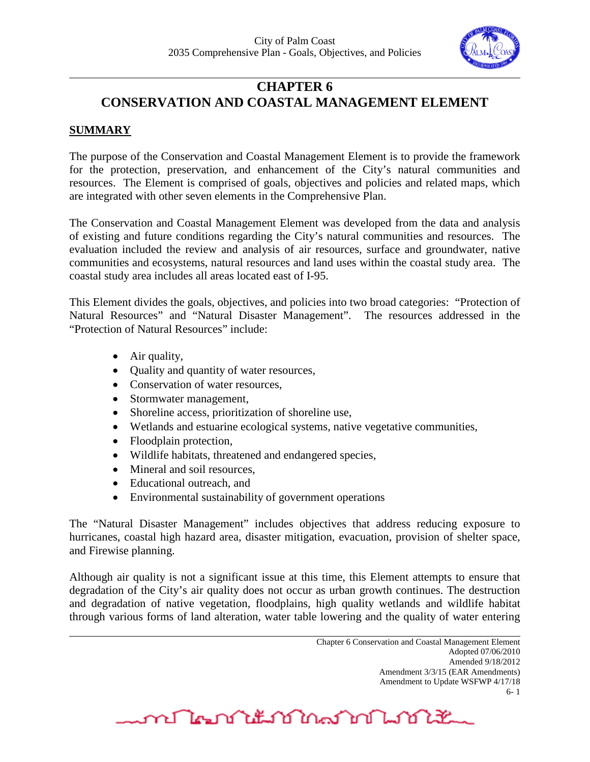

# **CHAPTER 6 CONSERVATION AND COASTAL MANAGEMENT ELEMENT**

# **SUMMARY**

The purpose of the Conservation and Coastal Management Element is to provide the framework for the protection, preservation, and enhancement of the City's natural communities and resources. The Element is comprised of goals, objectives and policies and related maps, which are integrated with other seven elements in the Comprehensive Plan.

The Conservation and Coastal Management Element was developed from the data and analysis of existing and future conditions regarding the City's natural communities and resources. The evaluation included the review and analysis of air resources, surface and groundwater, native communities and ecosystems, natural resources and land uses within the coastal study area. The coastal study area includes all areas located east of I-95.

This Element divides the goals, objectives, and policies into two broad categories: "Protection of Natural Resources" and "Natural Disaster Management". The resources addressed in the "Protection of Natural Resources" include:

- Air quality,
- Quality and quantity of water resources,
- Conservation of water resources.
- Stormwater management,
- Shoreline access, prioritization of shoreline use,
- Wetlands and estuarine ecological systems, native vegetative communities,
- Floodplain protection,
- Wildlife habitats, threatened and endangered species,
- Mineral and soil resources,
- Educational outreach, and
- Environmental sustainability of government operations

The "Natural Disaster Management" includes objectives that address reducing exposure to hurricanes, coastal high hazard area, disaster mitigation, evacuation, provision of shelter space, and Firewise planning.

Although air quality is not a significant issue at this time, this Element attempts to ensure that degradation of the City's air quality does not occur as urban growth continues. The destruction and degradation of native vegetation, floodplains, high quality wetlands and wildlife habitat through various forms of land alteration, water table lowering and the quality of water entering

<u>mflornitum in manufacture and the second state of the second state of the second state of the second state of </u>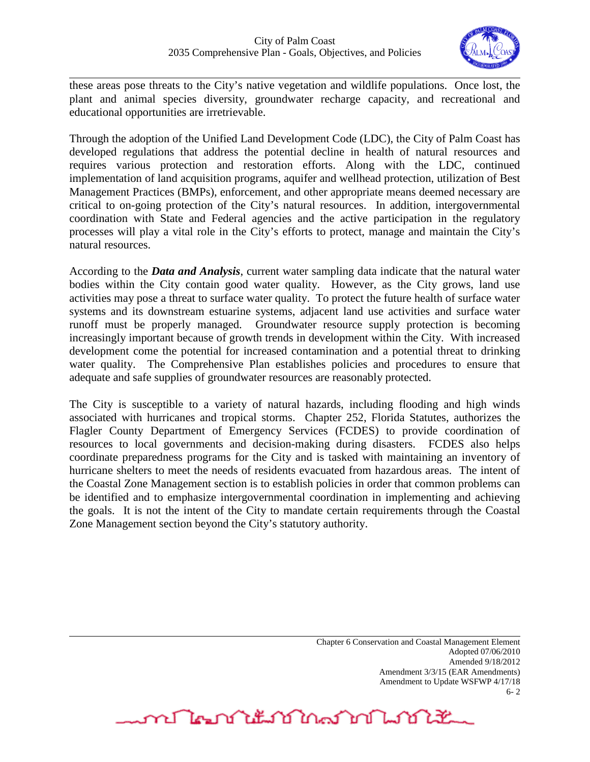

these areas pose threats to the City's native vegetation and wildlife populations. Once lost, the plant and animal species diversity, groundwater recharge capacity, and recreational and educational opportunities are irretrievable.

Through the adoption of the Unified Land Development Code (LDC), the City of Palm Coast has developed regulations that address the potential decline in health of natural resources and requires various protection and restoration efforts. Along with the LDC, continued implementation of land acquisition programs, aquifer and wellhead protection, utilization of Best Management Practices (BMPs), enforcement, and other appropriate means deemed necessary are critical to on-going protection of the City's natural resources. In addition, intergovernmental coordination with State and Federal agencies and the active participation in the regulatory processes will play a vital role in the City's efforts to protect, manage and maintain the City's natural resources.

According to the *Data and Analysis*, current water sampling data indicate that the natural water bodies within the City contain good water quality. However, as the City grows, land use activities may pose a threat to surface water quality. To protect the future health of surface water systems and its downstream estuarine systems, adjacent land use activities and surface water runoff must be properly managed. Groundwater resource supply protection is becoming increasingly important because of growth trends in development within the City. With increased development come the potential for increased contamination and a potential threat to drinking water quality. The Comprehensive Plan establishes policies and procedures to ensure that adequate and safe supplies of groundwater resources are reasonably protected.

The City is susceptible to a variety of natural hazards, including flooding and high winds associated with hurricanes and tropical storms. Chapter 252, Florida Statutes, authorizes the Flagler County Department of Emergency Services (FCDES) to provide coordination of resources to local governments and decision-making during disasters. FCDES also helps coordinate preparedness programs for the City and is tasked with maintaining an inventory of hurricane shelters to meet the needs of residents evacuated from hazardous areas. The intent of the Coastal Zone Management section is to establish policies in order that common problems can be identified and to emphasize intergovernmental coordination in implementing and achieving the goals. It is not the intent of the City to mandate certain requirements through the Coastal Zone Management section beyond the City's statutory authority.

> Chapter 6 Conservation and Coastal Management Element Adopted 07/06/2010 Amended 9/18/2012 Amendment 3/3/15 (EAR Amendments) Amendment to Update WSFWP 4/17/18 6- 2

mr Negri it is in a man man it is a stream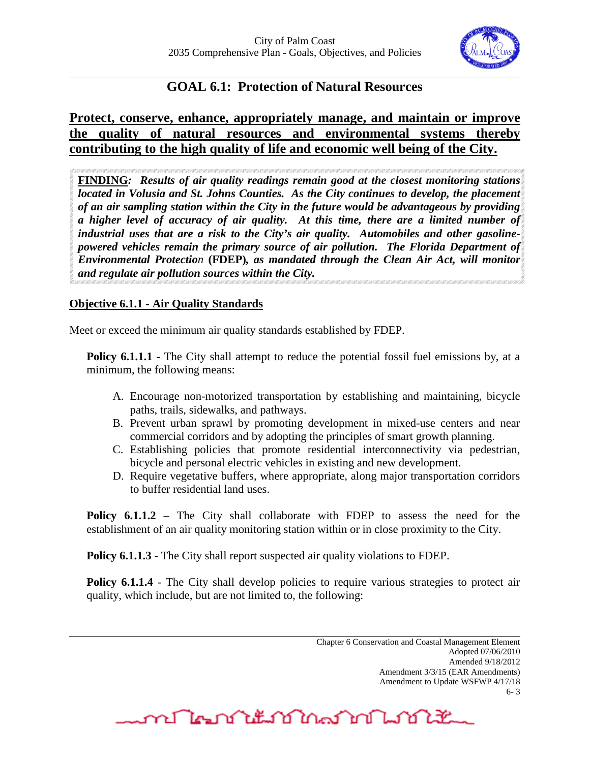

# **GOAL 6.1: Protection of Natural Resources**

# **Protect, conserve, enhance, appropriately manage, and maintain or improve the quality of natural resources and environmental systems thereby contributing to the high quality of life and economic well being of the City.**

**FINDING***: Results of air quality readings remain good at the closest monitoring stations located in Volusia and St. Johns Counties. As the City continues to develop, the placement of an air sampling station within the City in the future would be advantageous by providing a higher level of accuracy of air quality. At this time, there are a limited number of industrial uses that are a risk to the City's air quality. Automobiles and other gasolinepowered vehicles remain the primary source of air pollution. The Florida Department of Environmental Protection* **(FDEP)***, as mandated through the Clean Air Act, will monitor and regulate air pollution sources within the City.*

# **Objective 6.1.1 - Air Quality Standards**

Meet or exceed the minimum air quality standards established by FDEP.

**Policy 6.1.1.1 -** The City shall attempt to reduce the potential fossil fuel emissions by, at a minimum, the following means:

- A. Encourage non-motorized transportation by establishing and maintaining, bicycle paths, trails, sidewalks, and pathways.
- B. Prevent urban sprawl by promoting development in mixed-use centers and near commercial corridors and by adopting the principles of smart growth planning.
- C. Establishing policies that promote residential interconnectivity via pedestrian, bicycle and personal electric vehicles in existing and new development.
- D. Require vegetative buffers, where appropriate, along major transportation corridors to buffer residential land uses.

**Policy 6.1.1.2** – The City shall collaborate with FDEP to assess the need for the establishment of an air quality monitoring station within or in close proximity to the City.

**Policy 6.1.1.3** - The City shall report suspected air quality violations to FDEP.

**Policy 6.1.1.4** - The City shall develop policies to require various strategies to protect air quality, which include, but are not limited to, the following:

mr Man Mit 10 Mart 10 Martin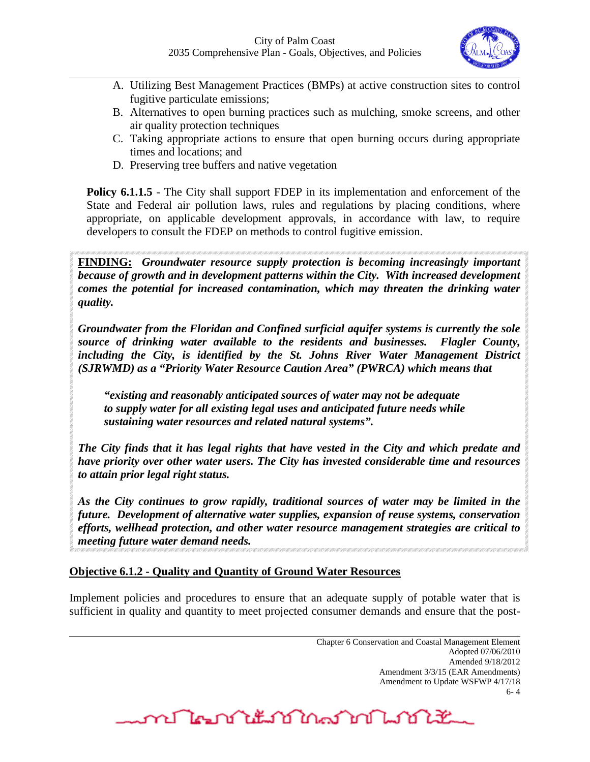

- A. Utilizing Best Management Practices (BMPs) at active construction sites to control fugitive particulate emissions;
- B. Alternatives to open burning practices such as mulching, smoke screens, and other air quality protection techniques
- C. Taking appropriate actions to ensure that open burning occurs during appropriate times and locations; and
- D. Preserving tree buffers and native vegetation

**Policy 6.1.1.5** - The City shall support FDEP in its implementation and enforcement of the State and Federal air pollution laws, rules and regulations by placing conditions, where appropriate, on applicable development approvals, in accordance with law, to require developers to consult the FDEP on methods to control fugitive emission.

**FINDING:** *Groundwater resource supply protection is becoming increasingly important because of growth and in development patterns within the City. With increased development comes the potential for increased contamination, which may threaten the drinking water quality.*

*Groundwater from the Floridan and Confined surficial aquifer systems is currently the sole source of drinking water available to the residents and businesses. Flagler County, including the City, is identified by the St. Johns River Water Management District (SJRWMD) as a "Priority Water Resource Caution Area" (PWRCA) which means that* 

*"existing and reasonably anticipated sources of water may not be adequate to supply water for all existing legal uses and anticipated future needs while sustaining water resources and related natural systems".* 

*The City finds that it has legal rights that have vested in the City and which predate and have priority over other water users. The City has invested considerable time and resources to attain prior legal right status.* 

*As the City continues to grow rapidly, traditional sources of water may be limited in the future. Development of alternative water supplies, expansion of reuse systems, conservation efforts, wellhead protection, and other water resource management strategies are critical to meeting future water demand needs.*

# **Objective 6.1.2 - Quality and Quantity of Ground Water Resources**

Implement policies and procedures to ensure that an adequate supply of potable water that is sufficient in quality and quantity to meet projected consumer demands and ensure that the post-

mr Negri it is in a mr na mr na mr na mr na mr na mr na mr na mr na mr na mr na mr na mr na mr na m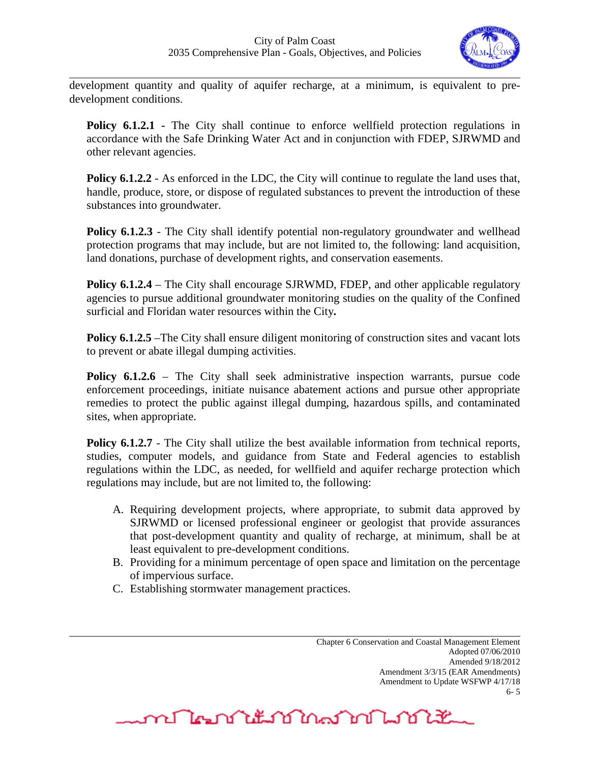

development quantity and quality of aquifer recharge, at a minimum, is equivalent to predevelopment conditions.

**Policy 6.1.2.1** - The City shall continue to enforce wellfield protection regulations in accordance with the Safe Drinking Water Act and in conjunction with FDEP, SJRWMD and other relevant agencies.

**Policy 6.1.2.2** - As enforced in the LDC, the City will continue to regulate the land uses that, handle, produce, store, or dispose of regulated substances to prevent the introduction of these substances into groundwater.

**Policy 6.1.2.3** - The City shall identify potential non-regulatory groundwater and wellhead protection programs that may include, but are not limited to, the following: land acquisition, land donations, purchase of development rights, and conservation easements.

**Policy 6.1.2.4** – The City shall encourage SJRWMD, FDEP, and other applicable regulatory agencies to pursue additional groundwater monitoring studies on the quality of the Confined surficial and Floridan water resources within the City**.** 

**Policy 6.1.2.5** –The City shall ensure diligent monitoring of construction sites and vacant lots to prevent or abate illegal dumping activities.

**Policy 6.1.2.6** – The City shall seek administrative inspection warrants, pursue code enforcement proceedings, initiate nuisance abatement actions and pursue other appropriate remedies to protect the public against illegal dumping, hazardous spills, and contaminated sites, when appropriate.

**Policy 6.1.2.7** - The City shall utilize the best available information from technical reports, studies, computer models, and guidance from State and Federal agencies to establish regulations within the LDC, as needed, for wellfield and aquifer recharge protection which regulations may include, but are not limited to, the following:

- A. Requiring development projects, where appropriate, to submit data approved by SJRWMD or licensed professional engineer or geologist that provide assurances that post-development quantity and quality of recharge, at minimum, shall be at least equivalent to pre-development conditions.
- B. Providing for a minimum percentage of open space and limitation on the percentage of impervious surface.
- C. Establishing stormwater management practices.

Chapter 6 Conservation and Coastal Management Element Adopted 07/06/2010 Amended 9/18/2012 Amendment 3/3/15 (EAR Amendments) Amendment to Update WSFWP 4/17/18 6- 5

<u>mentation mantang ka</u>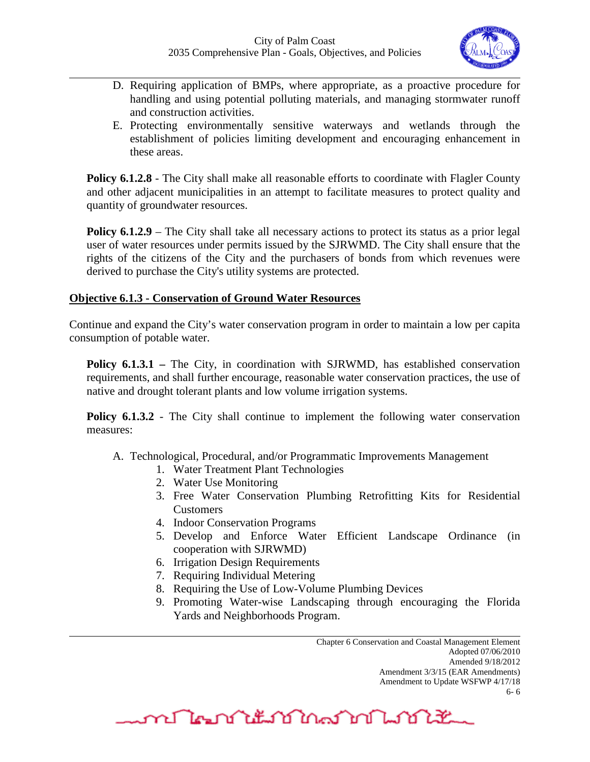

- D. Requiring application of BMPs, where appropriate, as a proactive procedure for handling and using potential polluting materials, and managing stormwater runoff and construction activities.
- E. Protecting environmentally sensitive waterways and wetlands through the establishment of policies limiting development and encouraging enhancement in these areas.

**Policy 6.1.2.8** - The City shall make all reasonable efforts to coordinate with Flagler County and other adjacent municipalities in an attempt to facilitate measures to protect quality and quantity of groundwater resources.

**Policy 6.1.2.9** – The City shall take all necessary actions to protect its status as a prior legal user of water resources under permits issued by the SJRWMD. The City shall ensure that the rights of the citizens of the City and the purchasers of bonds from which revenues were derived to purchase the City's utility systems are protected.

## **Objective 6.1.3 - Conservation of Ground Water Resources**

Continue and expand the City's water conservation program in order to maintain a low per capita consumption of potable water.

**Policy 6.1.3.1** – The City, in coordination with SJRWMD, has established conservation requirements, and shall further encourage, reasonable water conservation practices, the use of native and drought tolerant plants and low volume irrigation systems.

**Policy 6.1.3.2** - The City shall continue to implement the following water conservation measures:

A. Technological, Procedural, and/or Programmatic Improvements Management

- 1. Water Treatment Plant Technologies
- 2. Water Use Monitoring
- 3. Free Water Conservation Plumbing Retrofitting Kits for Residential Customers
- 4. Indoor Conservation Programs
- 5. Develop and Enforce Water Efficient Landscape Ordinance (in cooperation with SJRWMD)
- 6. Irrigation Design Requirements
- 7. Requiring Individual Metering
- 8. Requiring the Use of Low-Volume Plumbing Devices
- 9. Promoting Water-wise Landscaping through encouraging the Florida Yards and Neighborhoods Program.

Chapter 6 Conservation and Coastal Management Element Adopted 07/06/2010 Amended 9/18/2012 Amendment 3/3/15 (EAR Amendments) Amendment to Update WSFWP 4/17/18 6- 6

me De ne titula en De Maria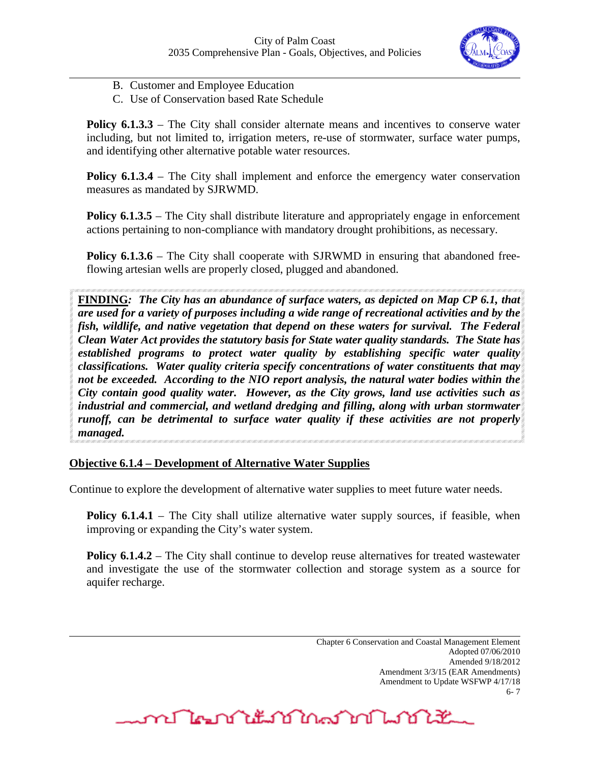

- B. Customer and Employee Education
- C. Use of Conservation based Rate Schedule

**Policy 6.1.3.3** – The City shall consider alternate means and incentives to conserve water including, but not limited to, irrigation meters, re-use of stormwater, surface water pumps, and identifying other alternative potable water resources.

**Policy 6.1.3.4** – The City shall implement and enforce the emergency water conservation measures as mandated by SJRWMD.

**Policy 6.1.3.5** – The City shall distribute literature and appropriately engage in enforcement actions pertaining to non-compliance with mandatory drought prohibitions, as necessary.

**Policy 6.1.3.6** – The City shall cooperate with SJRWMD in ensuring that abandoned freeflowing artesian wells are properly closed, plugged and abandoned.

**FINDING***: The City has an abundance of surface waters, as depicted on Map CP 6.1, that are used for a variety of purposes including a wide range of recreational activities and by the fish, wildlife, and native vegetation that depend on these waters for survival. The Federal Clean Water Act provides the statutory basis for State water quality standards. The State has established programs to protect water quality by establishing specific water quality classifications. Water quality criteria specify concentrations of water constituents that may not be exceeded. According to the NIO report analysis, the natural water bodies within the City contain good quality water. However, as the City grows, land use activities such as industrial and commercial, and wetland dredging and filling, along with urban stormwater runoff, can be detrimental to surface water quality if these activities are not properly managed.*

**Objective 6.1.4 – Development of Alternative Water Supplies**

Continue to explore the development of alternative water supplies to meet future water needs.

**Policy 6.1.4.1** – The City shall utilize alternative water supply sources, if feasible, when improving or expanding the City's water system.

**Policy 6.1.4.2** – The City shall continue to develop reuse alternatives for treated wastewater and investigate the use of the stormwater collection and storage system as a source for aquifer recharge.

mr Negri it is in a mr na mr na mr na mr na mr na mr na mr na mr na mr na mr na mr na mr na mr na m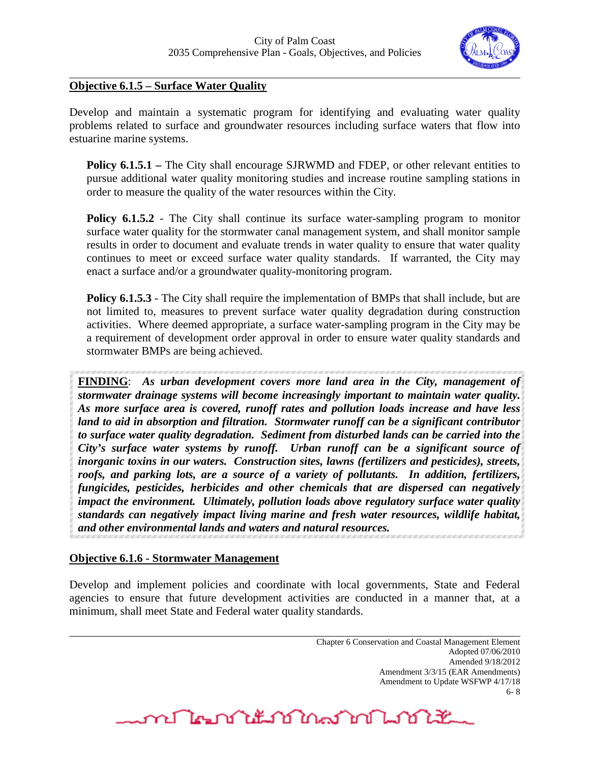

# **Objective 6.1.5 – Surface Water Quality**

Develop and maintain a systematic program for identifying and evaluating water quality problems related to surface and groundwater resources including surface waters that flow into estuarine marine systems.

**Policy 6.1.5.1** – The City shall encourage SJRWMD and FDEP, or other relevant entities to pursue additional water quality monitoring studies and increase routine sampling stations in order to measure the quality of the water resources within the City.

**Policy 6.1.5.2** - The City shall continue its surface water-sampling program to monitor surface water quality for the stormwater canal management system, and shall monitor sample results in order to document and evaluate trends in water quality to ensure that water quality continues to meet or exceed surface water quality standards. If warranted, the City may enact a surface and/or a groundwater quality-monitoring program.

**Policy 6.1.5.3** - The City shall require the implementation of BMPs that shall include, but are not limited to, measures to prevent surface water quality degradation during construction activities. Where deemed appropriate, a surface water-sampling program in the City may be a requirement of development order approval in order to ensure water quality standards and stormwater BMPs are being achieved.

**FINDING**: *As urban development covers more land area in the City, management of stormwater drainage systems will become increasingly important to maintain water quality. As more surface area is covered, runoff rates and pollution loads increase and have less land to aid in absorption and filtration. Stormwater runoff can be a significant contributor to surface water quality degradation. Sediment from disturbed lands can be carried into the City's surface water systems by runoff. Urban runoff can be a significant source of inorganic toxins in our waters. Construction sites, lawns (fertilizers and pesticides), streets, roofs, and parking lots, are a source of a variety of pollutants. In addition, fertilizers, fungicides, pesticides, herbicides and other chemicals that are dispersed can negatively impact the environment. Ultimately, pollution loads above regulatory surface water quality standards can negatively impact living marine and fresh water resources, wildlife habitat, and other environmental lands and waters and natural resources.*

#### **Objective 6.1.6 - Stormwater Management**

Develop and implement policies and coordinate with local governments, State and Federal agencies to ensure that future development activities are conducted in a manner that, at a minimum, shall meet State and Federal water quality standards.

> Chapter 6 Conservation and Coastal Management Element Adopted 07/06/2010 Amended 9/18/2012 Amendment 3/3/15 (EAR Amendments) Amendment to Update WSFWP 4/17/18 6- 8

<u>me De ne titula en De Martin e</u>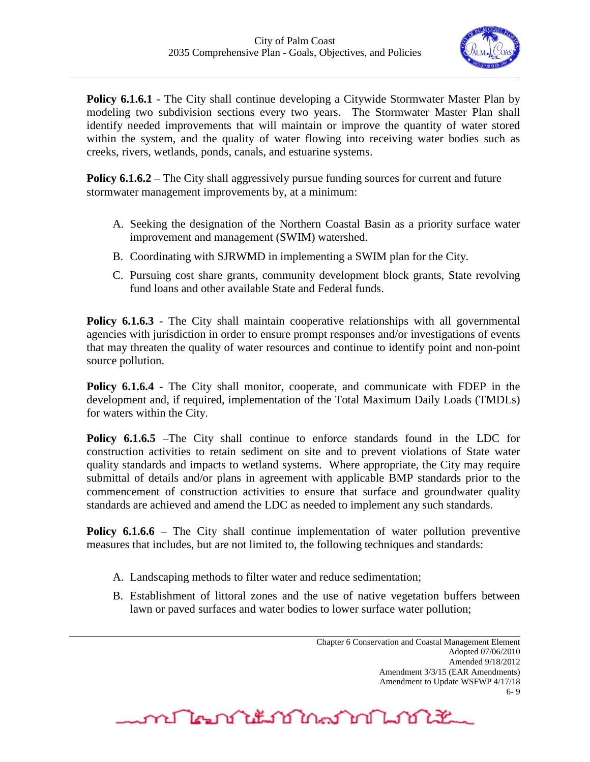

**Policy 6.1.6.1** - The City shall continue developing a Citywide Stormwater Master Plan by modeling two subdivision sections every two years. The Stormwater Master Plan shall identify needed improvements that will maintain or improve the quantity of water stored within the system, and the quality of water flowing into receiving water bodies such as creeks, rivers, wetlands, ponds, canals, and estuarine systems.

**Policy 6.1.6.2** – The City shall aggressively pursue funding sources for current and future stormwater management improvements by, at a minimum:

- A. Seeking the designation of the Northern Coastal Basin as a priority surface water improvement and management (SWIM) watershed.
- B. Coordinating with SJRWMD in implementing a SWIM plan for the City.
- C. Pursuing cost share grants, community development block grants, State revolving fund loans and other available State and Federal funds.

**Policy 6.1.6.3** - The City shall maintain cooperative relationships with all governmental agencies with jurisdiction in order to ensure prompt responses and/or investigations of events that may threaten the quality of water resources and continue to identify point and non-point source pollution.

**Policy 6.1.6.4** - The City shall monitor, cooperate, and communicate with FDEP in the development and, if required, implementation of the Total Maximum Daily Loads (TMDLs) for waters within the City.

**Policy 6.1.6.5** –The City shall continue to enforce standards found in the LDC for construction activities to retain sediment on site and to prevent violations of State water quality standards and impacts to wetland systems. Where appropriate, the City may require submittal of details and/or plans in agreement with applicable BMP standards prior to the commencement of construction activities to ensure that surface and groundwater quality standards are achieved and amend the LDC as needed to implement any such standards.

**Policy 6.1.6.6** – The City shall continue implementation of water pollution preventive measures that includes, but are not limited to, the following techniques and standards:

- A. Landscaping methods to filter water and reduce sedimentation;
- B. Establishment of littoral zones and the use of native vegetation buffers between lawn or paved surfaces and water bodies to lower surface water pollution;

<u>mentation mantang ka</u>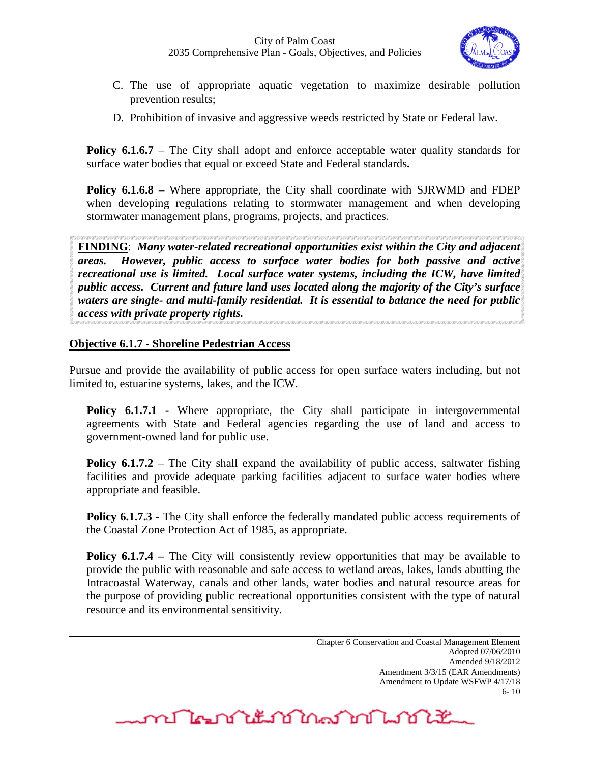

- C. The use of appropriate aquatic vegetation to maximize desirable pollution prevention results;
- D. Prohibition of invasive and aggressive weeds restricted by State or Federal law.

**Policy 6.1.6.7** – The City shall adopt and enforce acceptable water quality standards for surface water bodies that equal or exceed State and Federal standards**.** 

**Policy 6.1.6.8** – Where appropriate, the City shall coordinate with SJRWMD and FDEP when developing regulations relating to stormwater management and when developing stormwater management plans, programs, projects, and practices.

**FINDING**: *Many water-related recreational opportunities exist within the City and adjacent areas. However, public access to surface water bodies for both passive and active recreational use is limited. Local surface water systems, including the ICW, have limited public access. Current and future land uses located along the majority of the City's surface waters are single- and multi-family residential. It is essential to balance the need for public access with private property rights.* 

## **Objective 6.1.7 - Shoreline Pedestrian Access**

Pursue and provide the availability of public access for open surface waters including, but not limited to, estuarine systems, lakes, and the ICW.

**Policy 6.1.7.1** - Where appropriate, the City shall participate in intergovernmental agreements with State and Federal agencies regarding the use of land and access to government-owned land for public use.

**Policy 6.1.7.2** – The City shall expand the availability of public access, saltwater fishing facilities and provide adequate parking facilities adjacent to surface water bodies where appropriate and feasible.

**Policy 6.1.7.3** - The City shall enforce the federally mandated public access requirements of the Coastal Zone Protection Act of 1985, as appropriate.

**Policy 6.1.7.4** – The City will consistently review opportunities that may be available to provide the public with reasonable and safe access to wetland areas, lakes, lands abutting the Intracoastal Waterway, canals and other lands, water bodies and natural resource areas for the purpose of providing public recreational opportunities consistent with the type of natural resource and its environmental sensitivity.

> Chapter 6 Conservation and Coastal Management Element Adopted 07/06/2010 Amended 9/18/2012 Amendment 3/3/15 (EAR Amendments) Amendment to Update WSFWP 4/17/18 6- 10

mญี่ตามให้มายในอาณาไม่ไม่ไม่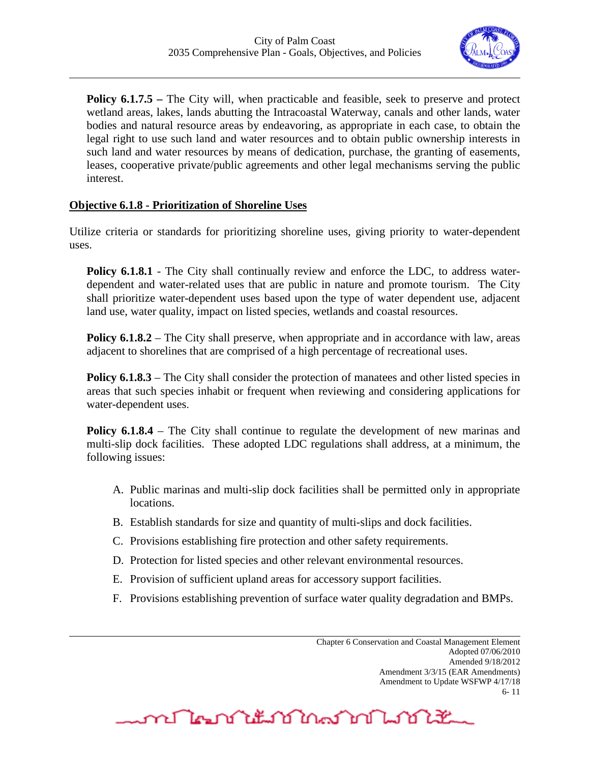

**Policy 6.1.7.5** – The City will, when practicable and feasible, seek to preserve and protect wetland areas, lakes, lands abutting the Intracoastal Waterway, canals and other lands, water bodies and natural resource areas by endeavoring, as appropriate in each case, to obtain the legal right to use such land and water resources and to obtain public ownership interests in such land and water resources by means of dedication, purchase, the granting of easements, leases, cooperative private/public agreements and other legal mechanisms serving the public interest.

## **Objective 6.1.8 - Prioritization of Shoreline Uses**

Utilize criteria or standards for prioritizing shoreline uses, giving priority to water-dependent uses.

**Policy 6.1.8.1** - The City shall continually review and enforce the LDC, to address waterdependent and water-related uses that are public in nature and promote tourism. The City shall prioritize water-dependent uses based upon the type of water dependent use, adjacent land use, water quality, impact on listed species, wetlands and coastal resources.

**Policy 6.1.8.2** – The City shall preserve, when appropriate and in accordance with law, areas adjacent to shorelines that are comprised of a high percentage of recreational uses.

**Policy 6.1.8.3** – The City shall consider the protection of manatees and other listed species in areas that such species inhabit or frequent when reviewing and considering applications for water-dependent uses.

**Policy 6.1.8.4** – The City shall continue to regulate the development of new marinas and multi-slip dock facilities. These adopted LDC regulations shall address, at a minimum, the following issues:

- A. Public marinas and multi-slip dock facilities shall be permitted only in appropriate locations.
- B. Establish standards for size and quantity of multi-slips and dock facilities.
- C. Provisions establishing fire protection and other safety requirements.
- D. Protection for listed species and other relevant environmental resources.
- E. Provision of sufficient upland areas for accessory support facilities.
- F. Provisions establishing prevention of surface water quality degradation and BMPs.

<u>mentation and the state of the state of the state of the state of the state of the state of the state of the s</u>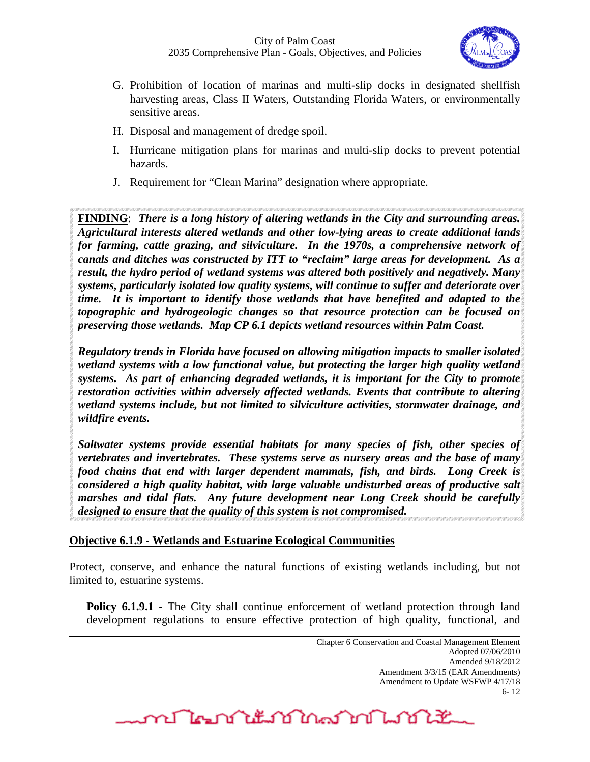

- G. Prohibition of location of marinas and multi-slip docks in designated shellfish harvesting areas, Class II Waters, Outstanding Florida Waters, or environmentally sensitive areas.
- H. Disposal and management of dredge spoil.
- I. Hurricane mitigation plans for marinas and multi-slip docks to prevent potential hazards.
- J. Requirement for "Clean Marina" designation where appropriate.

**FINDING**: *There is a long history of altering wetlands in the City and surrounding areas. Agricultural interests altered wetlands and other low-lying areas to create additional lands for farming, cattle grazing, and silviculture. In the 1970s, a comprehensive network of canals and ditches was constructed by ITT to "reclaim" large areas for development. As a result, the hydro period of wetland systems was altered both positively and negatively. Many systems, particularly isolated low quality systems, will continue to suffer and deteriorate over time. It is important to identify those wetlands that have benefited and adapted to the topographic and hydrogeologic changes so that resource protection can be focused on preserving those wetlands. Map CP 6.1 depicts wetland resources within Palm Coast.*

*Regulatory trends in Florida have focused on allowing mitigation impacts to smaller isolated wetland systems with a low functional value, but protecting the larger high quality wetland systems. As part of enhancing degraded wetlands, it is important for the City to promote restoration activities within adversely affected wetlands. Events that contribute to altering wetland systems include, but not limited to silviculture activities, stormwater drainage, and wildfire events.*

*Saltwater systems provide essential habitats for many species of fish, other species of vertebrates and invertebrates. These systems serve as nursery areas and the base of many food chains that end with larger dependent mammals, fish, and birds. Long Creek is considered a high quality habitat, with large valuable undisturbed areas of productive salt marshes and tidal flats. Any future development near Long Creek should be carefully designed to ensure that the quality of this system is not compromised.*

#### **Objective 6.1.9 - Wetlands and Estuarine Ecological Communities**

Protect, conserve, and enhance the natural functions of existing wetlands including, but not limited to, estuarine systems.

**Policy 6.1.9.1** - The City shall continue enforcement of wetland protection through land development regulations to ensure effective protection of high quality, functional, and

**MALAN LANDAN LANDER**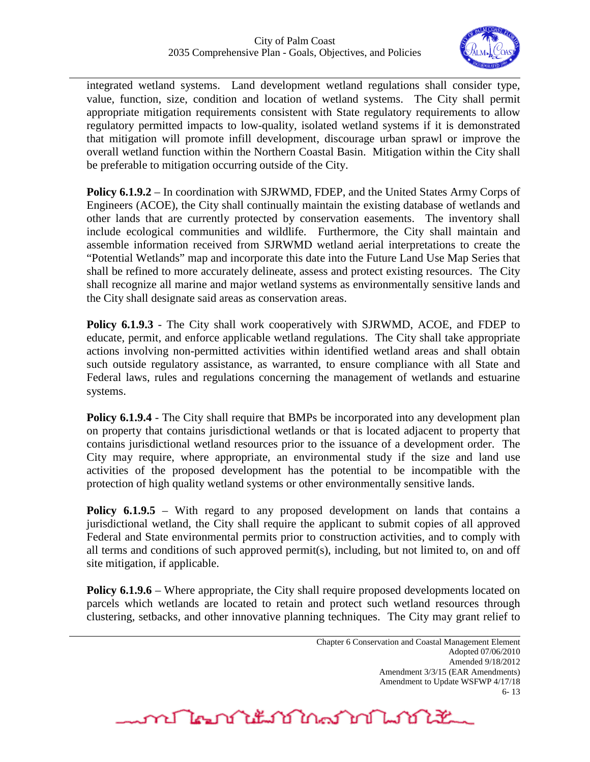

integrated wetland systems. Land development wetland regulations shall consider type, value, function, size, condition and location of wetland systems. The City shall permit appropriate mitigation requirements consistent with State regulatory requirements to allow regulatory permitted impacts to low-quality, isolated wetland systems if it is demonstrated that mitigation will promote infill development, discourage urban sprawl or improve the overall wetland function within the Northern Coastal Basin. Mitigation within the City shall be preferable to mitigation occurring outside of the City.

**Policy 6.1.9.2** – In coordination with SJRWMD, FDEP, and the United States Army Corps of Engineers (ACOE), the City shall continually maintain the existing database of wetlands and other lands that are currently protected by conservation easements. The inventory shall include ecological communities and wildlife. Furthermore, the City shall maintain and assemble information received from SJRWMD wetland aerial interpretations to create the "Potential Wetlands" map and incorporate this date into the Future Land Use Map Series that shall be refined to more accurately delineate, assess and protect existing resources. The City shall recognize all marine and major wetland systems as environmentally sensitive lands and the City shall designate said areas as conservation areas.

**Policy 6.1.9.3** - The City shall work cooperatively with SJRWMD, ACOE, and FDEP to educate, permit, and enforce applicable wetland regulations. The City shall take appropriate actions involving non-permitted activities within identified wetland areas and shall obtain such outside regulatory assistance, as warranted, to ensure compliance with all State and Federal laws, rules and regulations concerning the management of wetlands and estuarine systems.

**Policy 6.1.9.4** - The City shall require that BMPs be incorporated into any development plan on property that contains jurisdictional wetlands or that is located adjacent to property that contains jurisdictional wetland resources prior to the issuance of a development order. The City may require, where appropriate, an environmental study if the size and land use activities of the proposed development has the potential to be incompatible with the protection of high quality wetland systems or other environmentally sensitive lands.

**Policy 6.1.9.5** – With regard to any proposed development on lands that contains a jurisdictional wetland, the City shall require the applicant to submit copies of all approved Federal and State environmental permits prior to construction activities, and to comply with all terms and conditions of such approved permit(s), including, but not limited to, on and off site mitigation, if applicable.

**Policy 6.1.9.6** – Where appropriate, the City shall require proposed developments located on parcels which wetlands are located to retain and protect such wetland resources through clustering, setbacks, and other innovative planning techniques. The City may grant relief to

متعلكم المساكس والكشائح والمحاكمة والكرمان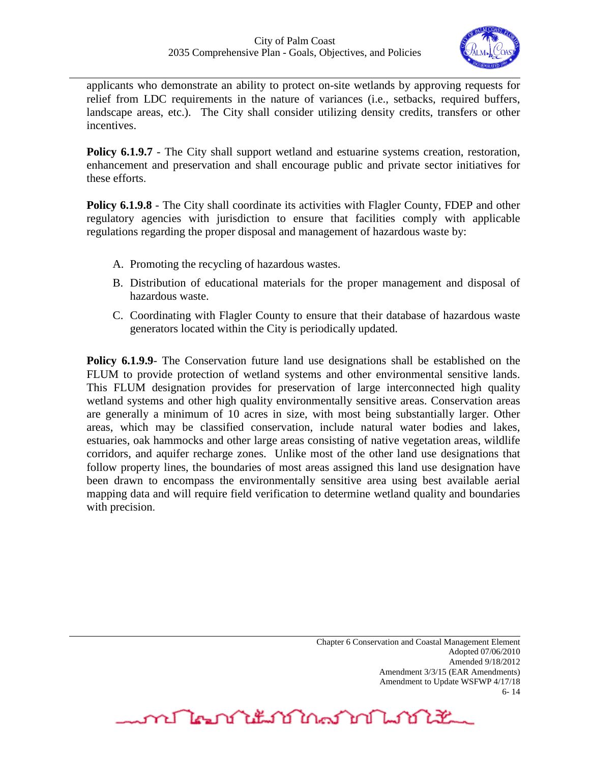

applicants who demonstrate an ability to protect on-site wetlands by approving requests for relief from LDC requirements in the nature of variances (i.e., setbacks, required buffers, landscape areas, etc.). The City shall consider utilizing density credits, transfers or other incentives.

**Policy 6.1.9.7** - The City shall support wetland and estuarine systems creation, restoration, enhancement and preservation and shall encourage public and private sector initiatives for these efforts.

**Policy 6.1.9.8** - The City shall coordinate its activities with Flagler County, FDEP and other regulatory agencies with jurisdiction to ensure that facilities comply with applicable regulations regarding the proper disposal and management of hazardous waste by:

- A. Promoting the recycling of hazardous wastes.
- B. Distribution of educational materials for the proper management and disposal of hazardous waste.
- C. Coordinating with Flagler County to ensure that their database of hazardous waste generators located within the City is periodically updated.

**Policy 6.1.9.9**- The Conservation future land use designations shall be established on the FLUM to provide protection of wetland systems and other environmental sensitive lands. This FLUM designation provides for preservation of large interconnected high quality wetland systems and other high quality environmentally sensitive areas. Conservation areas are generally a minimum of 10 acres in size, with most being substantially larger. Other areas, which may be classified conservation, include natural water bodies and lakes, estuaries, oak hammocks and other large areas consisting of native vegetation areas, wildlife corridors, and aquifer recharge zones. Unlike most of the other land use designations that follow property lines, the boundaries of most areas assigned this land use designation have been drawn to encompass the environmentally sensitive area using best available aerial mapping data and will require field verification to determine wetland quality and boundaries with precision.

**MALAN LANDAN LANDEL**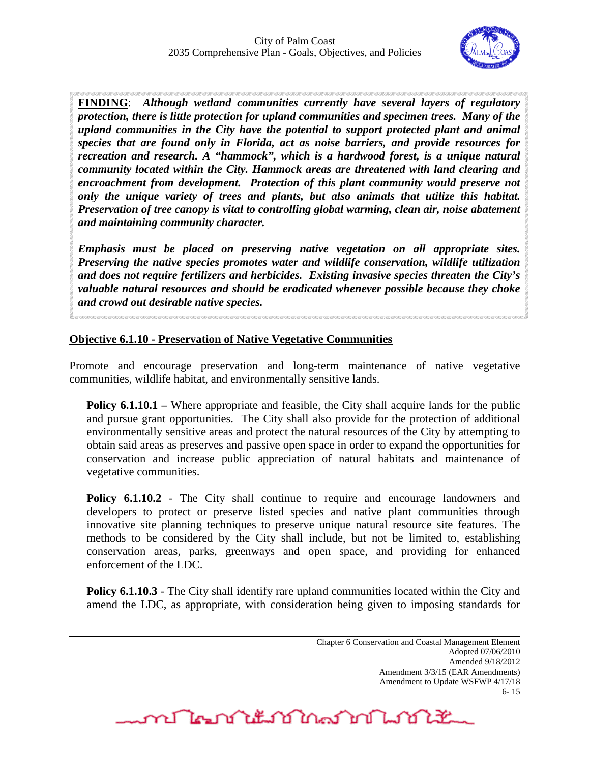

**FINDING**: *Although wetland communities currently have several layers of regulatory protection, there is little protection for upland communities and specimen trees. Many of the upland communities in the City have the potential to support protected plant and animal species that are found only in Florida, act as noise barriers, and provide resources for recreation and research. A "hammock", which is a hardwood forest, is a unique natural community located within the City. Hammock areas are threatened with land clearing and encroachment from development. Protection of this plant community would preserve not only the unique variety of trees and plants, but also animals that utilize this habitat. Preservation of tree canopy is vital to controlling global warming, clean air, noise abatement and maintaining community character.*

*Emphasis must be placed on preserving native vegetation on all appropriate sites. Preserving the native species promotes water and wildlife conservation, wildlife utilization and does not require fertilizers and herbicides. Existing invasive species threaten the City's valuable natural resources and should be eradicated whenever possible because they choke and crowd out desirable native species.*

#### **Objective 6.1.10 - Preservation of Native Vegetative Communities**

Promote and encourage preservation and long-term maintenance of native vegetative communities, wildlife habitat, and environmentally sensitive lands.

**Policy 6.1.10.1** – Where appropriate and feasible, the City shall acquire lands for the public and pursue grant opportunities. The City shall also provide for the protection of additional environmentally sensitive areas and protect the natural resources of the City by attempting to obtain said areas as preserves and passive open space in order to expand the opportunities for conservation and increase public appreciation of natural habitats and maintenance of vegetative communities.

**Policy 6.1.10.2** - The City shall continue to require and encourage landowners and developers to protect or preserve listed species and native plant communities through innovative site planning techniques to preserve unique natural resource site features. The methods to be considered by the City shall include, but not be limited to, establishing conservation areas, parks, greenways and open space, and providing for enhanced enforcement of the LDC.

**Policy 6.1.10.3** - The City shall identify rare upland communities located within the City and amend the LDC, as appropriate, with consideration being given to imposing standards for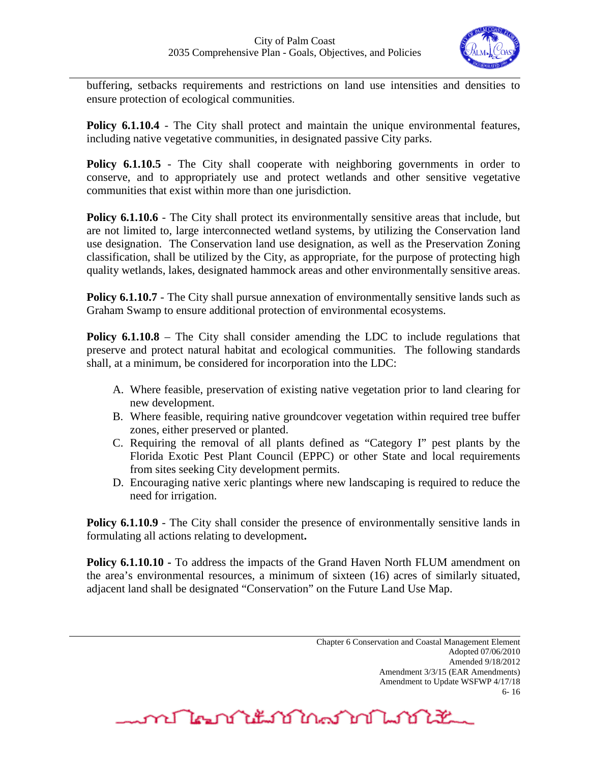

buffering, setbacks requirements and restrictions on land use intensities and densities to ensure protection of ecological communities.

Policy **6.1.10.4** - The City shall protect and maintain the unique environmental features, including native vegetative communities, in designated passive City parks.

**Policy 6.1.10.5** - The City shall cooperate with neighboring governments in order to conserve, and to appropriately use and protect wetlands and other sensitive vegetative communities that exist within more than one jurisdiction.

**Policy 6.1.10.6** - The City shall protect its environmentally sensitive areas that include, but are not limited to, large interconnected wetland systems, by utilizing the Conservation land use designation. The Conservation land use designation, as well as the Preservation Zoning classification, shall be utilized by the City, as appropriate, for the purpose of protecting high quality wetlands, lakes, designated hammock areas and other environmentally sensitive areas.

**Policy 6.1.10.7** - The City shall pursue annexation of environmentally sensitive lands such as Graham Swamp to ensure additional protection of environmental ecosystems.

**Policy 6.1.10.8** – The City shall consider amending the LDC to include regulations that preserve and protect natural habitat and ecological communities. The following standards shall, at a minimum, be considered for incorporation into the LDC:

- A. Where feasible, preservation of existing native vegetation prior to land clearing for new development.
- B. Where feasible, requiring native groundcover vegetation within required tree buffer zones, either preserved or planted.
- C. Requiring the removal of all plants defined as "Category I" pest plants by the Florida Exotic Pest Plant Council (EPPC) or other State and local requirements from sites seeking City development permits.
- D. Encouraging native xeric plantings where new landscaping is required to reduce the need for irrigation.

**Policy 6.1.10.9** - The City shall consider the presence of environmentally sensitive lands in formulating all actions relating to development**.**

**Policy 6.1.10.10 -** To address the impacts of the Grand Haven North FLUM amendment on the area's environmental resources, a minimum of sixteen (16) acres of similarly situated, adjacent land shall be designated "Conservation" on the Future Land Use Map.

**MALAN LANDAN LANDER**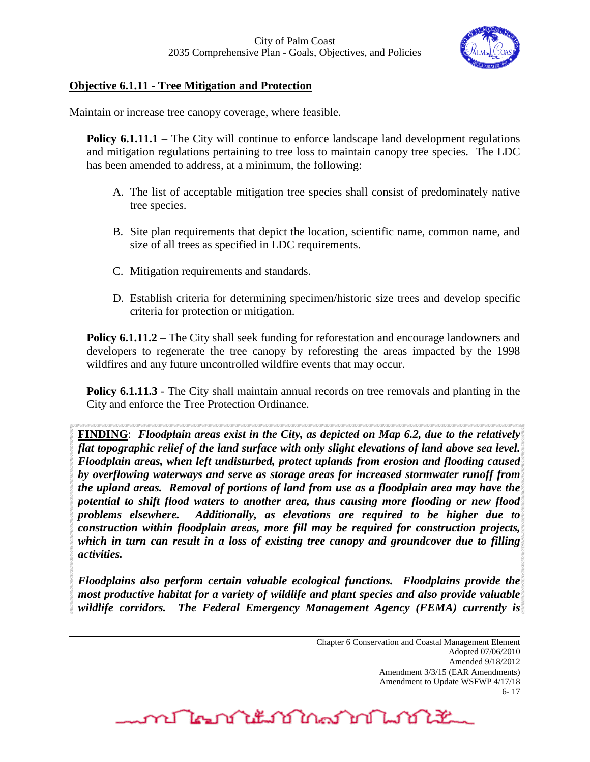

## **Objective 6.1.11 - Tree Mitigation and Protection**

Maintain or increase tree canopy coverage, where feasible.

**Policy 6.1.11.1** – The City will continue to enforce landscape land development regulations and mitigation regulations pertaining to tree loss to maintain canopy tree species. The LDC has been amended to address, at a minimum, the following:

- A. The list of acceptable mitigation tree species shall consist of predominately native tree species.
- B. Site plan requirements that depict the location, scientific name, common name, and size of all trees as specified in LDC requirements.
- C. Mitigation requirements and standards.
- D. Establish criteria for determining specimen/historic size trees and develop specific criteria for protection or mitigation.

**Policy 6.1.11.2** – The City shall seek funding for reforestation and encourage landowners and developers to regenerate the tree canopy by reforesting the areas impacted by the 1998 wildfires and any future uncontrolled wildfire events that may occur.

**Policy 6.1.11.3** - The City shall maintain annual records on tree removals and planting in the City and enforce the Tree Protection Ordinance.

**FINDING**: *Floodplain areas exist in the City, as depicted on Map 6.2, due to the relatively flat topographic relief of the land surface with only slight elevations of land above sea level. Floodplain areas, when left undisturbed, protect uplands from erosion and flooding caused by overflowing waterways and serve as storage areas for increased stormwater runoff from the upland areas. Removal of portions of land from use as a floodplain area may have the potential to shift flood waters to another area, thus causing more flooding or new flood problems elsewhere. Additionally, as elevations are required to be higher due to construction within floodplain areas, more fill may be required for construction projects, which in turn can result in a loss of existing tree canopy and groundcover due to filling activities.* 

*Floodplains also perform certain valuable ecological functions. Floodplains provide the most productive habitat for a variety of wildlife and plant species and also provide valuable wildlife corridors. The Federal Emergency Management Agency (FEMA) currently is* 

<u>me Man Alta Man An Martin Alta State and Martin Alta State and a Martin Alta State and a Martin Alta State and</u>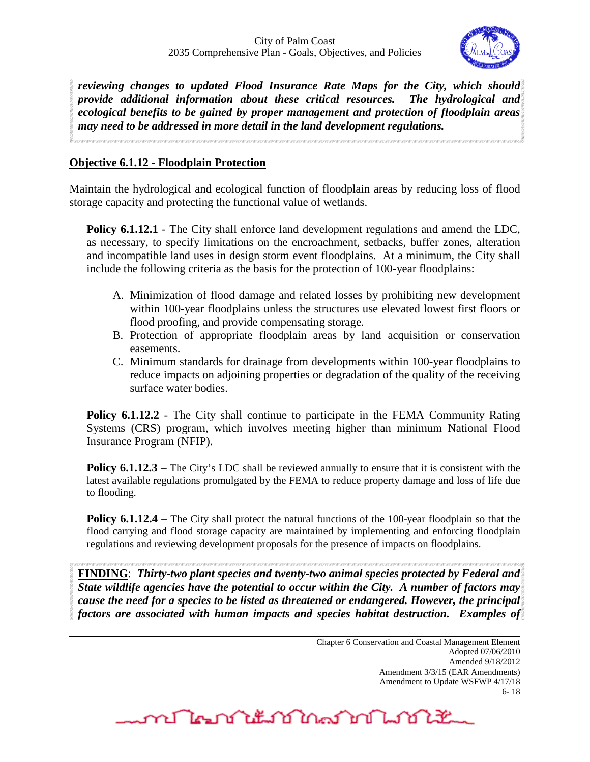

*reviewing changes to updated Flood Insurance Rate Maps for the City, which should provide additional information about these critical resources. The hydrological and ecological benefits to be gained by proper management and protection of floodplain areas may need to be addressed in more detail in the land development regulations.*

# **Objective 6.1.12 - Floodplain Protection**

Maintain the hydrological and ecological function of floodplain areas by reducing loss of flood storage capacity and protecting the functional value of wetlands.

**Policy 6.1.12.1** - The City shall enforce land development regulations and amend the LDC, as necessary, to specify limitations on the encroachment, setbacks, buffer zones, alteration and incompatible land uses in design storm event floodplains. At a minimum, the City shall include the following criteria as the basis for the protection of 100-year floodplains:

- A. Minimization of flood damage and related losses by prohibiting new development within 100-year floodplains unless the structures use elevated lowest first floors or flood proofing, and provide compensating storage.
- B. Protection of appropriate floodplain areas by land acquisition or conservation easements.
- C. Minimum standards for drainage from developments within 100-year floodplains to reduce impacts on adjoining properties or degradation of the quality of the receiving surface water bodies.

**Policy 6.1.12.2** - The City shall continue to participate in the FEMA Community Rating Systems (CRS) program, which involves meeting higher than minimum National Flood Insurance Program (NFIP).

**Policy 6.1.12.3** – The City's LDC shall be reviewed annually to ensure that it is consistent with the latest available regulations promulgated by the FEMA to reduce property damage and loss of life due to flooding.

**Policy 6.1.12.4** – The City shall protect the natural functions of the 100-year floodplain so that the flood carrying and flood storage capacity are maintained by implementing and enforcing floodplain regulations and reviewing development proposals for the presence of impacts on floodplains.

**FINDING**: *Thirty-two plant species and twenty-two animal species protected by Federal and State wildlife agencies have the potential to occur within the City. A number of factors may cause the need for a species to be listed as threatened or endangered. However, the principal factors are associated with human impacts and species habitat destruction. Examples of* 

**MALAN LANDAN LANDER**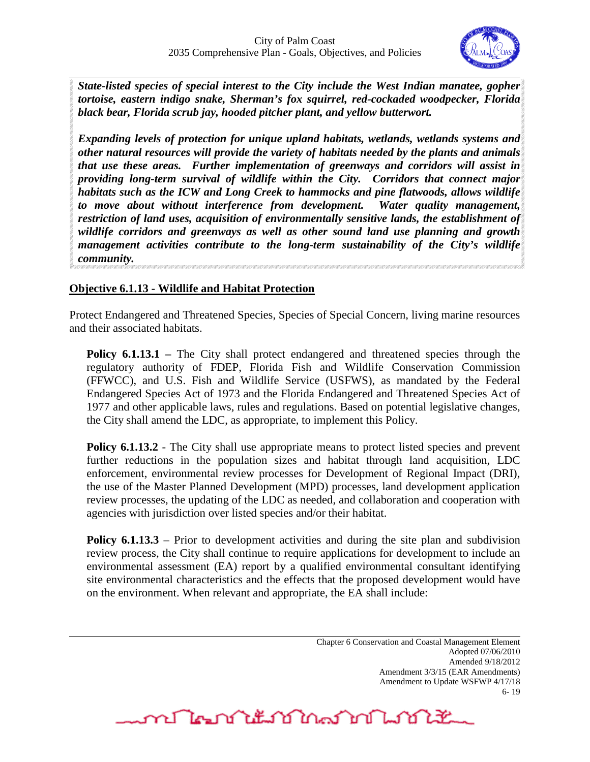

*State-listed species of special interest to the City include the West Indian manatee, gopher tortoise, eastern indigo snake, Sherman's fox squirrel, red-cockaded woodpecker, Florida black bear, Florida scrub jay, hooded pitcher plant, and yellow butterwort.*

*Expanding levels of protection for unique upland habitats, wetlands, wetlands systems and other natural resources will provide the variety of habitats needed by the plants and animals that use these areas. Further implementation of greenways and corridors will assist in providing long-term survival of wildlife within the City. Corridors that connect major habitats such as the ICW and Long Creek to hammocks and pine flatwoods, allows wildlife to move about without interference from development. Water quality management, restriction of land uses, acquisition of environmentally sensitive lands, the establishment of wildlife corridors and greenways as well as other sound land use planning and growth management activities contribute to the long-term sustainability of the City's wildlife community.*

# **Objective 6.1.13 - Wildlife and Habitat Protection**

Protect Endangered and Threatened Species, Species of Special Concern, living marine resources and their associated habitats.

**Policy 6.1.13.1** – The City shall protect endangered and threatened species through the regulatory authority of FDEP, Florida Fish and Wildlife Conservation Commission (FFWCC), and U.S. Fish and Wildlife Service (USFWS), as mandated by the Federal Endangered Species Act of 1973 and the Florida Endangered and Threatened Species Act of 1977 and other applicable laws, rules and regulations. Based on potential legislative changes, the City shall amend the LDC, as appropriate, to implement this Policy.

**Policy 6.1.13.2** - The City shall use appropriate means to protect listed species and prevent further reductions in the population sizes and habitat through land acquisition, LDC enforcement, environmental review processes for Development of Regional Impact (DRI), the use of the Master Planned Development (MPD) processes, land development application review processes, the updating of the LDC as needed, and collaboration and cooperation with agencies with jurisdiction over listed species and/or their habitat.

**Policy 6.1.13.3** – Prior to development activities and during the site plan and subdivision review process, the City shall continue to require applications for development to include an environmental assessment (EA) report by a qualified environmental consultant identifying site environmental characteristics and the effects that the proposed development would have on the environment. When relevant and appropriate, the EA shall include:

> Chapter 6 Conservation and Coastal Management Element Adopted 07/06/2010 Amended 9/18/2012 Amendment 3/3/15 (EAR Amendments) Amendment to Update WSFWP 4/17/18 6- 19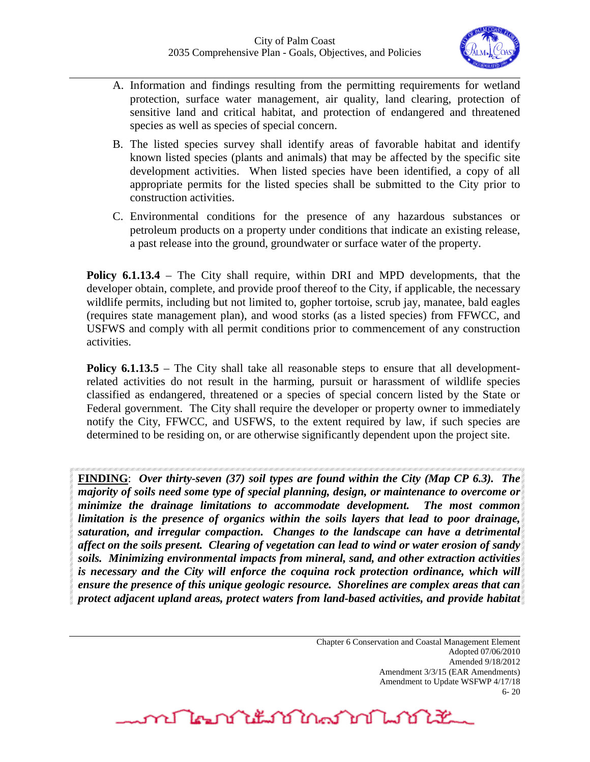

- A. Information and findings resulting from the permitting requirements for wetland protection, surface water management, air quality, land clearing, protection of sensitive land and critical habitat, and protection of endangered and threatened species as well as species of special concern.
- B. The listed species survey shall identify areas of favorable habitat and identify known listed species (plants and animals) that may be affected by the specific site development activities. When listed species have been identified, a copy of all appropriate permits for the listed species shall be submitted to the City prior to construction activities.
- C. Environmental conditions for the presence of any hazardous substances or petroleum products on a property under conditions that indicate an existing release, a past release into the ground, groundwater or surface water of the property.

**Policy 6.1.13.4** – The City shall require, within DRI and MPD developments, that the developer obtain, complete, and provide proof thereof to the City, if applicable, the necessary wildlife permits, including but not limited to, gopher tortoise, scrub jay, manatee, bald eagles (requires state management plan), and wood storks (as a listed species) from FFWCC, and USFWS and comply with all permit conditions prior to commencement of any construction activities.

**Policy 6.1.13.5** – The City shall take all reasonable steps to ensure that all developmentrelated activities do not result in the harming, pursuit or harassment of wildlife species classified as endangered, threatened or a species of special concern listed by the State or Federal government. The City shall require the developer or property owner to immediately notify the City, FFWCC, and USFWS, to the extent required by law, if such species are determined to be residing on, or are otherwise significantly dependent upon the project site.

**FINDING**: *Over thirty-seven (37) soil types are found within the City (Map CP 6.3). The majority of soils need some type of special planning, design, or maintenance to overcome or minimize the drainage limitations to accommodate development. The most common limitation is the presence of organics within the soils layers that lead to poor drainage, saturation, and irregular compaction. Changes to the landscape can have a detrimental affect on the soils present. Clearing of vegetation can lead to wind or water erosion of sandy soils. Minimizing environmental impacts from mineral, sand, and other extraction activities is necessary and the City will enforce the coquina rock protection ordinance, which will ensure the presence of this unique geologic resource. Shorelines are complex areas that can protect adjacent upland areas, protect waters from land-based activities, and provide habitat* 

mr Ne na titulan ng Marting Marting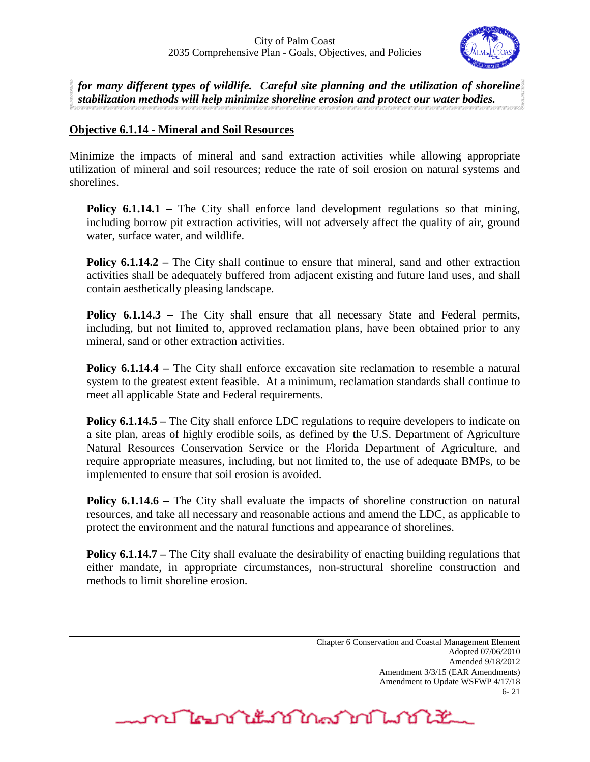

*for many different types of wildlife. Careful site planning and the utilization of shoreline stabilization methods will help minimize shoreline erosion and protect our water bodies.* 

# **Objective 6.1.14 - Mineral and Soil Resources**

Minimize the impacts of mineral and sand extraction activities while allowing appropriate utilization of mineral and soil resources; reduce the rate of soil erosion on natural systems and shorelines.

**Policy 6.1.14.1** – The City shall enforce land development regulations so that mining, including borrow pit extraction activities, will not adversely affect the quality of air, ground water, surface water, and wildlife.

**Policy 6.1.14.2** – The City shall continue to ensure that mineral, sand and other extraction activities shall be adequately buffered from adjacent existing and future land uses, and shall contain aesthetically pleasing landscape.

**Policy 6.1.14.3** – The City shall ensure that all necessary State and Federal permits, including, but not limited to, approved reclamation plans, have been obtained prior to any mineral, sand or other extraction activities.

**Policy 6.1.14.4** – The City shall enforce excavation site reclamation to resemble a natural system to the greatest extent feasible. At a minimum, reclamation standards shall continue to meet all applicable State and Federal requirements.

**Policy 6.1.14.5** – The City shall enforce LDC regulations to require developers to indicate on a site plan, areas of highly erodible soils, as defined by the U.S. Department of Agriculture Natural Resources Conservation Service or the Florida Department of Agriculture, and require appropriate measures, including, but not limited to, the use of adequate BMPs, to be implemented to ensure that soil erosion is avoided.

**Policy 6.1.14.6** – The City shall evaluate the impacts of shoreline construction on natural resources, and take all necessary and reasonable actions and amend the LDC, as applicable to protect the environment and the natural functions and appearance of shorelines.

**Policy 6.1.14.7** – The City shall evaluate the desirability of enacting building regulations that either mandate, in appropriate circumstances, non-structural shoreline construction and methods to limit shoreline erosion.

> Chapter 6 Conservation and Coastal Management Element Adopted 07/06/2010 Amended 9/18/2012 Amendment 3/3/15 (EAR Amendments) Amendment to Update WSFWP 4/17/18 6- 21

<u>mentation and month</u>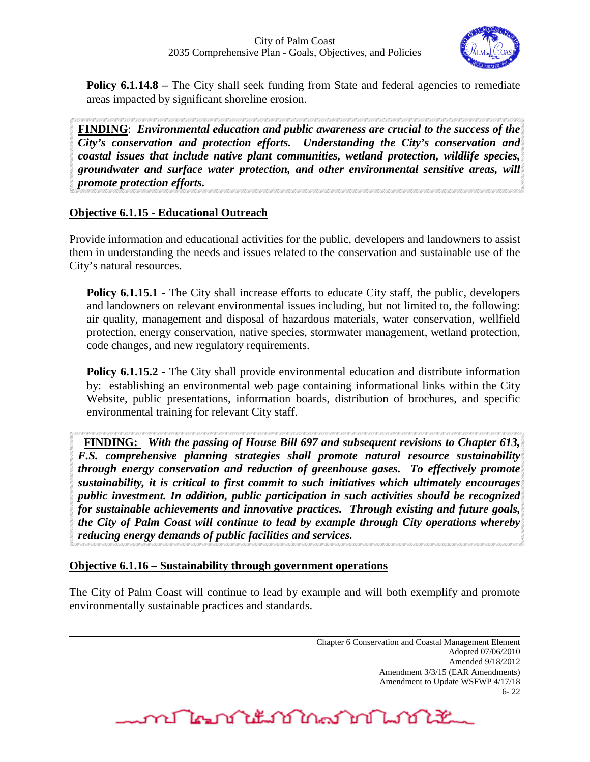

**Policy 6.1.14.8** – The City shall seek funding from State and federal agencies to remediate areas impacted by significant shoreline erosion.

**FINDING**: *Environmental education and public awareness are crucial to the success of the City's conservation and protection efforts. Understanding the City's conservation and coastal issues that include native plant communities, wetland protection, wildlife species, groundwater and surface water protection, and other environmental sensitive areas, will promote protection efforts.*

# **Objective 6.1.15 - Educational Outreach**

Provide information and educational activities for the public, developers and landowners to assist them in understanding the needs and issues related to the conservation and sustainable use of the City's natural resources.

**Policy 6.1.15.1** - The City shall increase efforts to educate City staff, the public, developers and landowners on relevant environmental issues including, but not limited to, the following: air quality, management and disposal of hazardous materials, water conservation, wellfield protection, energy conservation, native species, stormwater management, wetland protection, code changes, and new regulatory requirements.

**Policy 6.1.15.2 -** The City shall provide environmental education and distribute information by: establishing an environmental web page containing informational links within the City Website, public presentations, information boards, distribution of brochures, and specific environmental training for relevant City staff.

 **FINDING:** *With the passing of House Bill 697 and subsequent revisions to Chapter 613, F.S. comprehensive planning strategies shall promote natural resource sustainability through energy conservation and reduction of greenhouse gases. To effectively promote sustainability, it is critical to first commit to such initiatives which ultimately encourages public investment. In addition, public participation in such activities should be recognized for sustainable achievements and innovative practices. Through existing and future goals, the City of Palm Coast will continue to lead by example through City operations whereby reducing energy demands of public facilities and services.* 

#### **Objective 6.1.16 – Sustainability through government operations**

The City of Palm Coast will continue to lead by example and will both exemplify and promote environmentally sustainable practices and standards.

> Chapter 6 Conservation and Coastal Management Element Adopted 07/06/2010 Amended 9/18/2012 Amendment 3/3/15 (EAR Amendments) Amendment to Update WSFWP 4/17/18 6- 22

mr Negri it is in a market market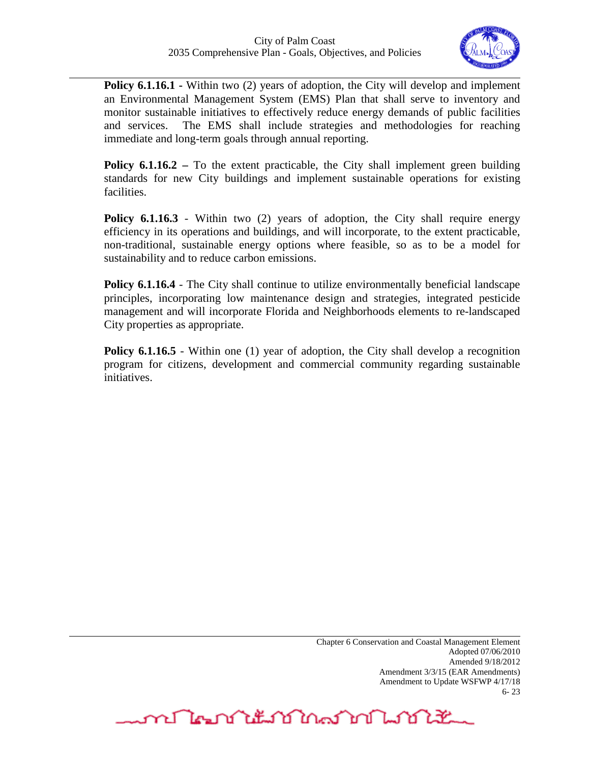

**Policy 6.1.16.1 -** Within two (2) years of adoption, the City will develop and implement an Environmental Management System (EMS) Plan that shall serve to inventory and monitor sustainable initiatives to effectively reduce energy demands of public facilities and services. The EMS shall include strategies and methodologies for reaching immediate and long-term goals through annual reporting.

**Policy 6.1.16.2** – To the extent practicable, the City shall implement green building standards for new City buildings and implement sustainable operations for existing facilities.

**Policy 6.1.16.3** - Within two (2) years of adoption, the City shall require energy efficiency in its operations and buildings, and will incorporate, to the extent practicable, non-traditional, sustainable energy options where feasible, so as to be a model for sustainability and to reduce carbon emissions.

**Policy 6.1.16.4** - The City shall continue to utilize environmentally beneficial landscape principles, incorporating low maintenance design and strategies, integrated pesticide management and will incorporate Florida and Neighborhoods elements to re-landscaped City properties as appropriate.

**Policy 6.1.16.5** - Within one (1) year of adoption, the City shall develop a recognition program for citizens, development and commercial community regarding sustainable initiatives.

mr Negri it is in marin 1990 it is 1992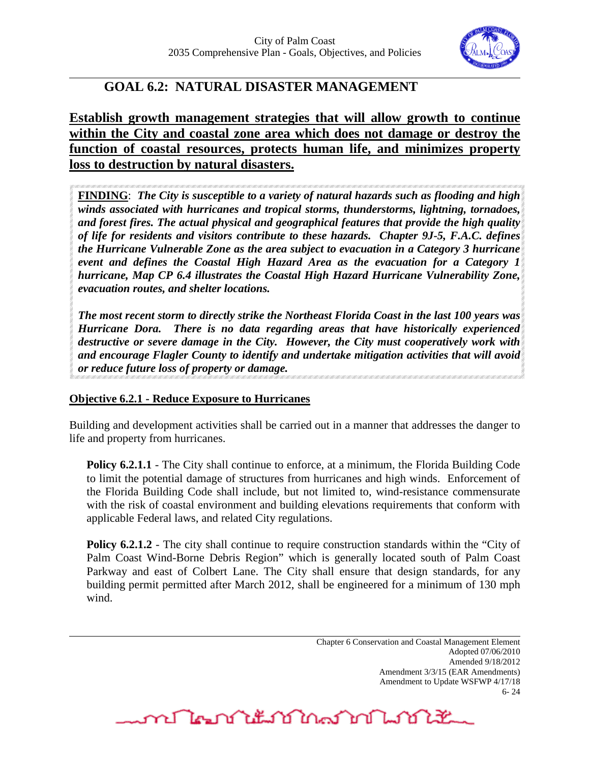

# **GOAL 6.2: NATURAL DISASTER MANAGEMENT**

**Establish growth management strategies that will allow growth to continue within the City and coastal zone area which does not damage or destroy the function of coastal resources, protects human life, and minimizes property loss to destruction by natural disasters.** 

**FINDING**: *The City is susceptible to a variety of natural hazards such as flooding and high winds associated with hurricanes and tropical storms, thunderstorms, lightning, tornadoes, and forest fires. The actual physical and geographical features that provide the high quality of life for residents and visitors contribute to these hazards. Chapter 9J-5, F.A.C. defines the Hurricane Vulnerable Zone as the area subject to evacuation in a Category 3 hurricane event and defines the Coastal High Hazard Area as the evacuation for a Category 1 hurricane, Map CP 6.4 illustrates the Coastal High Hazard Hurricane Vulnerability Zone, evacuation routes, and shelter locations.*

*The most recent storm to directly strike the Northeast Florida Coast in the last 100 years was Hurricane Dora. There is no data regarding areas that have historically experienced destructive or severe damage in the City. However, the City must cooperatively work with and encourage Flagler County to identify and undertake mitigation activities that will avoid or reduce future loss of property or damage.* 

# **Objective 6.2.1 - Reduce Exposure to Hurricanes**

Building and development activities shall be carried out in a manner that addresses the danger to life and property from hurricanes.

**Policy 6.2.1.1** - The City shall continue to enforce, at a minimum, the Florida Building Code to limit the potential damage of structures from hurricanes and high winds. Enforcement of the Florida Building Code shall include, but not limited to, wind-resistance commensurate with the risk of coastal environment and building elevations requirements that conform with applicable Federal laws, and related City regulations.

**Policy 6.2.1.2** - The city shall continue to require construction standards within the "City of Palm Coast Wind-Borne Debris Region" which is generally located south of Palm Coast Parkway and east of Colbert Lane. The City shall ensure that design standards, for any building permit permitted after March 2012, shall be engineered for a minimum of 130 mph wind.

**MALAN LANDAN LANDER**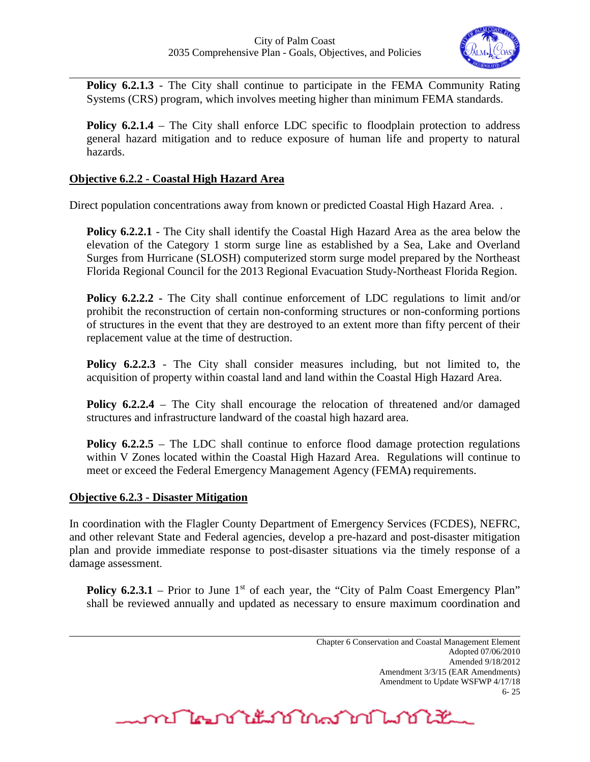

**Policy 6.2.1.3** - The City shall continue to participate in the FEMA Community Rating Systems (CRS) program, which involves meeting higher than minimum FEMA standards.

**Policy 6.2.1.4** – The City shall enforce LDC specific to floodplain protection to address general hazard mitigation and to reduce exposure of human life and property to natural hazards.

# **Objective 6.2.2 - Coastal High Hazard Area**

Direct population concentrations away from known or predicted Coastal High Hazard Area. .

**Policy 6.2.2.1** - The City shall identify the Coastal High Hazard Area as the area below the elevation of the Category 1 storm surge line as established by a Sea, Lake and Overland Surges from Hurricane (SLOSH) computerized storm surge model prepared by the Northeast Florida Regional Council for the 2013 Regional Evacuation Study-Northeast Florida Region.

**Policy 6.2.2.2 -** The City shall continue enforcement of LDC regulations to limit and/or prohibit the reconstruction of certain non-conforming structures or non-conforming portions of structures in the event that they are destroyed to an extent more than fifty percent of their replacement value at the time of destruction.

**Policy 6.2.2.3** - The City shall consider measures including, but not limited to, the acquisition of property within coastal land and land within the Coastal High Hazard Area.

**Policy 6.2.2.4** – The City shall encourage the relocation of threatened and/or damaged structures and infrastructure landward of the coastal high hazard area.

**Policy 6.2.2.5** – The LDC shall continue to enforce flood damage protection regulations within V Zones located within the Coastal High Hazard Area. Regulations will continue to meet or exceed the Federal Emergency Management Agency (FEMA**)** requirements.

#### **Objective 6.2.3 - Disaster Mitigation**

In coordination with the Flagler County Department of Emergency Services (FCDES), NEFRC, and other relevant State and Federal agencies, develop a pre-hazard and post-disaster mitigation plan and provide immediate response to post-disaster situations via the timely response of a damage assessment.

**Policy 6.2.3.1** – Prior to June 1<sup>st</sup> of each year, the "City of Palm Coast Emergency Plan" shall be reviewed annually and updated as necessary to ensure maximum coordination and

<u>mentation and the state of the state of the state of the state of the state of the state of the state of the s</u>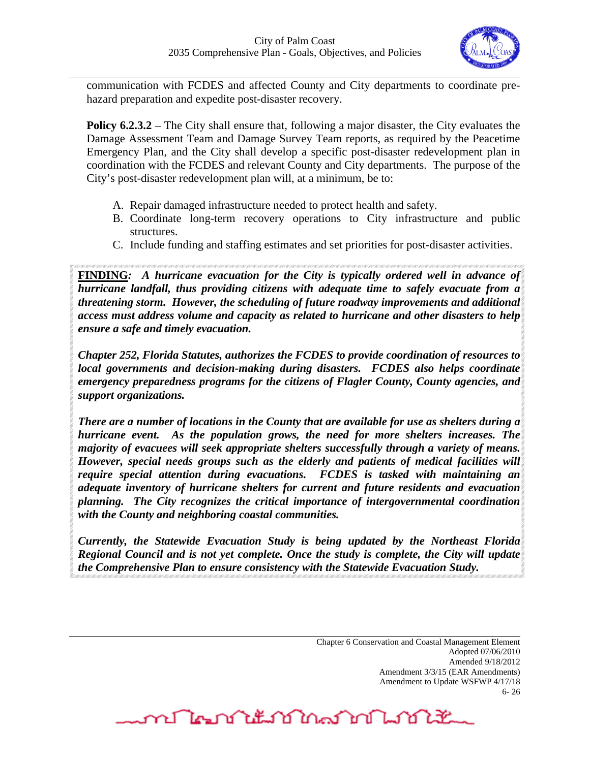

communication with FCDES and affected County and City departments to coordinate prehazard preparation and expedite post-disaster recovery.

**Policy 6.2.3.2** – The City shall ensure that, following a major disaster, the City evaluates the Damage Assessment Team and Damage Survey Team reports, as required by the Peacetime Emergency Plan, and the City shall develop a specific post-disaster redevelopment plan in coordination with the FCDES and relevant County and City departments. The purpose of the City's post-disaster redevelopment plan will, at a minimum, be to:

- A. Repair damaged infrastructure needed to protect health and safety.
- B. Coordinate long-term recovery operations to City infrastructure and public structures.
- C. Include funding and staffing estimates and set priorities for post-disaster activities.

**FINDING***: A hurricane evacuation for the City is typically ordered well in advance of hurricane landfall, thus providing citizens with adequate time to safely evacuate from a threatening storm. However, the scheduling of future roadway improvements and additional access must address volume and capacity as related to hurricane and other disasters to help ensure a safe and timely evacuation.* 

*Chapter 252, Florida Statutes, authorizes the FCDES to provide coordination of resources to local governments and decision-making during disasters. FCDES also helps coordinate emergency preparedness programs for the citizens of Flagler County, County agencies, and support organizations.*

*There are a number of locations in the County that are available for use as shelters during a hurricane event. As the population grows, the need for more shelters increases. The majority of evacuees will seek appropriate shelters successfully through a variety of means. However, special needs groups such as the elderly and patients of medical facilities will require special attention during evacuations. FCDES is tasked with maintaining an adequate inventory of hurricane shelters for current and future residents and evacuation planning. The City recognizes the critical importance of intergovernmental coordination with the County and neighboring coastal communities.*

*Currently, the Statewide Evacuation Study is being updated by the Northeast Florida Regional Council and is not yet complete. Once the study is complete, the City will update the Comprehensive Plan to ensure consistency with the Statewide Evacuation Study.*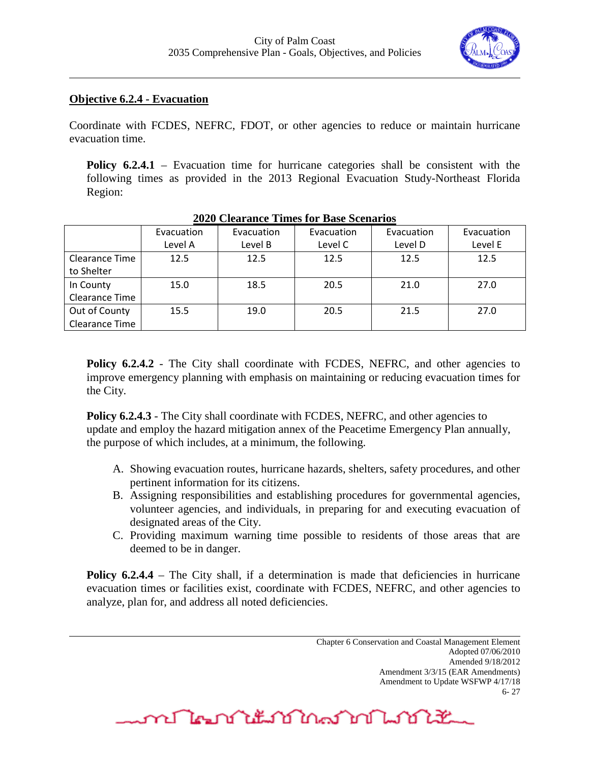

#### **Objective 6.2.4 - Evacuation**

Coordinate with FCDES, NEFRC, FDOT, or other agencies to reduce or maintain hurricane evacuation time.

**Policy 6.2.4.1** – Evacuation time for hurricane categories shall be consistent with the following times as provided in the 2013 Regional Evacuation Study-Northeast Florida Region:

| TVTV CIVALANCO TIMOS TVI DASO SOCIALISS |            |            |            |            |            |
|-----------------------------------------|------------|------------|------------|------------|------------|
|                                         | Evacuation | Evacuation | Evacuation | Evacuation | Evacuation |
|                                         | Level A    | Level B    | Level C    | Level D    | Level E    |
| Clearance Time                          | 12.5       | 12.5       | 12.5       | 12.5       | 12.5       |
| to Shelter                              |            |            |            |            |            |
| In County                               | 15.0       | 18.5       | 20.5       | 21.0       | 27.0       |
| Clearance Time                          |            |            |            |            |            |
| Out of County                           | 15.5       | 19.0       | 20.5       | 21.5       | 27.0       |
| Clearance Time                          |            |            |            |            |            |

#### **2020 Clearance Times for Base Scenarios**

**Policy 6.2.4.2** - The City shall coordinate with FCDES, NEFRC, and other agencies to improve emergency planning with emphasis on maintaining or reducing evacuation times for the City.

**Policy 6.2.4.3** - The City shall coordinate with FCDES, NEFRC, and other agencies to update and employ the hazard mitigation annex of the Peacetime Emergency Plan annually, the purpose of which includes, at a minimum, the following.

- A. Showing evacuation routes, hurricane hazards, shelters, safety procedures, and other pertinent information for its citizens.
- B. Assigning responsibilities and establishing procedures for governmental agencies, volunteer agencies, and individuals, in preparing for and executing evacuation of designated areas of the City.
- C. Providing maximum warning time possible to residents of those areas that are deemed to be in danger.

**Policy 6.2.4.4** – The City shall, if a determination is made that deficiencies in hurricane evacuation times or facilities exist, coordinate with FCDES, NEFRC, and other agencies to analyze, plan for, and address all noted deficiencies.

word The Dan Lillian Dan Lillian Dan Lillian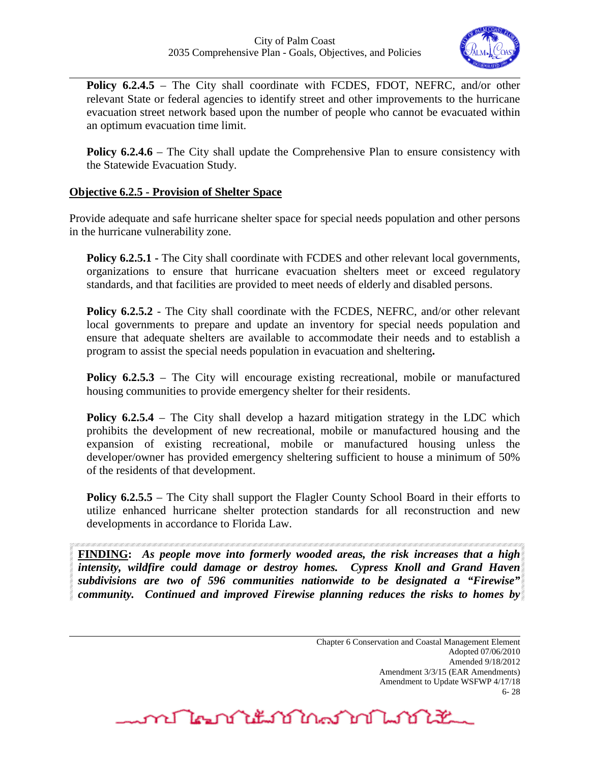

**Policy 6.2.4.5** – The City shall coordinate with FCDES, FDOT, NEFRC, and/or other relevant State or federal agencies to identify street and other improvements to the hurricane evacuation street network based upon the number of people who cannot be evacuated within an optimum evacuation time limit.

**Policy 6.2.4.6** – The City shall update the Comprehensive Plan to ensure consistency with the Statewide Evacuation Study.

## **Objective 6.2.5 - Provision of Shelter Space**

Provide adequate and safe hurricane shelter space for special needs population and other persons in the hurricane vulnerability zone.

**Policy 6.2.5.1 -** The City shall coordinate with FCDES and other relevant local governments, organizations to ensure that hurricane evacuation shelters meet or exceed regulatory standards, and that facilities are provided to meet needs of elderly and disabled persons.

**Policy 6.2.5.2** - The City shall coordinate with the FCDES, NEFRC, and/or other relevant local governments to prepare and update an inventory for special needs population and ensure that adequate shelters are available to accommodate their needs and to establish a program to assist the special needs population in evacuation and sheltering**.** 

**Policy 6.2.5.3** – The City will encourage existing recreational, mobile or manufactured housing communities to provide emergency shelter for their residents.

**Policy 6.2.5.4** – The City shall develop a hazard mitigation strategy in the LDC which prohibits the development of new recreational, mobile or manufactured housing and the expansion of existing recreational, mobile or manufactured housing unless the developer/owner has provided emergency sheltering sufficient to house a minimum of 50% of the residents of that development.

**Policy 6.2.5.5** – The City shall support the Flagler County School Board in their efforts to utilize enhanced hurricane shelter protection standards for all reconstruction and new developments in accordance to Florida Law.

**FINDING:** *As people move into formerly wooded areas, the risk increases that a high intensity, wildfire could damage or destroy homes. Cypress Knoll and Grand Haven subdivisions are two of 596 communities nationwide to be designated a "Firewise" community. Continued and improved Firewise planning reduces the risks to homes by* 

<u>mflornitum in 1917</u>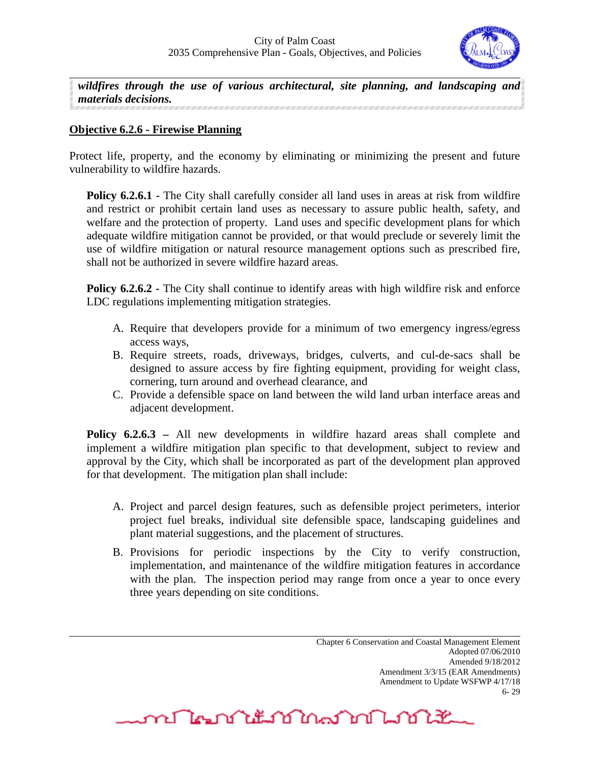

*wildfires through the use of various architectural, site planning, and landscaping and materials decisions.*

## **Objective 6.2.6 - Firewise Planning**

Protect life, property, and the economy by eliminating or minimizing the present and future vulnerability to wildfire hazards.

**Policy 6.2.6.1** - The City shall carefully consider all land uses in areas at risk from wildfire and restrict or prohibit certain land uses as necessary to assure public health, safety, and welfare and the protection of property. Land uses and specific development plans for which adequate wildfire mitigation cannot be provided, or that would preclude or severely limit the use of wildfire mitigation or natural resource management options such as prescribed fire, shall not be authorized in severe wildfire hazard areas.

**Policy 6.2.6.2** - The City shall continue to identify areas with high wildfire risk and enforce LDC regulations implementing mitigation strategies.

- A. Require that developers provide for a minimum of two emergency ingress/egress access ways,
- B. Require streets, roads, driveways, bridges, culverts, and cul-de-sacs shall be designed to assure access by fire fighting equipment, providing for weight class, cornering, turn around and overhead clearance, and
- C. Provide a defensible space on land between the wild land urban interface areas and adjacent development.

**Policy 6.2.6.3** – All new developments in wildfire hazard areas shall complete and implement a wildfire mitigation plan specific to that development, subject to review and approval by the City, which shall be incorporated as part of the development plan approved for that development. The mitigation plan shall include:

- A. Project and parcel design features, such as defensible project perimeters, interior project fuel breaks, individual site defensible space, landscaping guidelines and plant material suggestions, and the placement of structures.
- B. Provisions for periodic inspections by the City to verify construction, implementation, and maintenance of the wildfire mitigation features in accordance with the plan. The inspection period may range from once a year to once every three years depending on site conditions.

mr Man Mit 10 Mart 10 Martin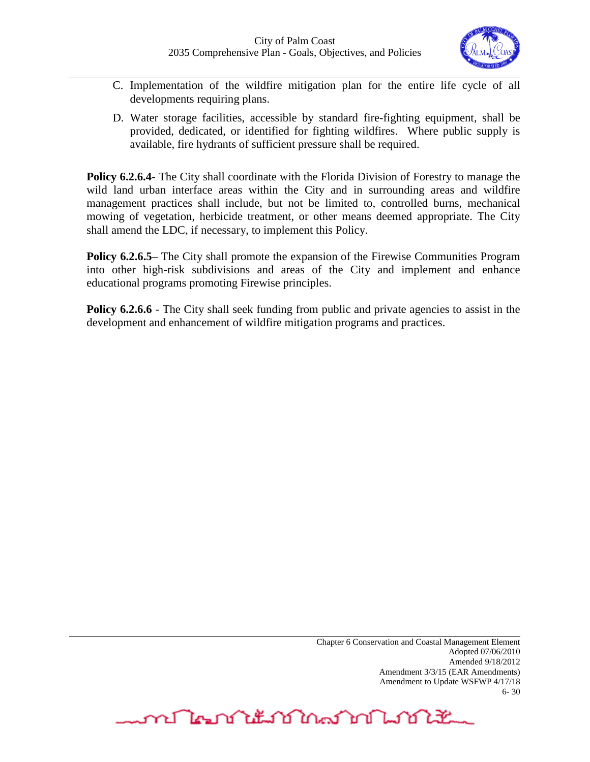

- C. Implementation of the wildfire mitigation plan for the entire life cycle of all developments requiring plans.
- D. Water storage facilities, accessible by standard fire-fighting equipment, shall be provided, dedicated, or identified for fighting wildfires. Where public supply is available, fire hydrants of sufficient pressure shall be required.

**Policy 6.2.6.4** The City shall coordinate with the Florida Division of Forestry to manage the wild land urban interface areas within the City and in surrounding areas and wildfire management practices shall include, but not be limited to, controlled burns, mechanical mowing of vegetation, herbicide treatment, or other means deemed appropriate. The City shall amend the LDC, if necessary, to implement this Policy.

**Policy 6.2.6.5** The City shall promote the expansion of the Firewise Communities Program into other high-risk subdivisions and areas of the City and implement and enhance educational programs promoting Firewise principles.

**Policy 6.2.6.6** - The City shall seek funding from public and private agencies to assist in the development and enhancement of wildfire mitigation programs and practices.

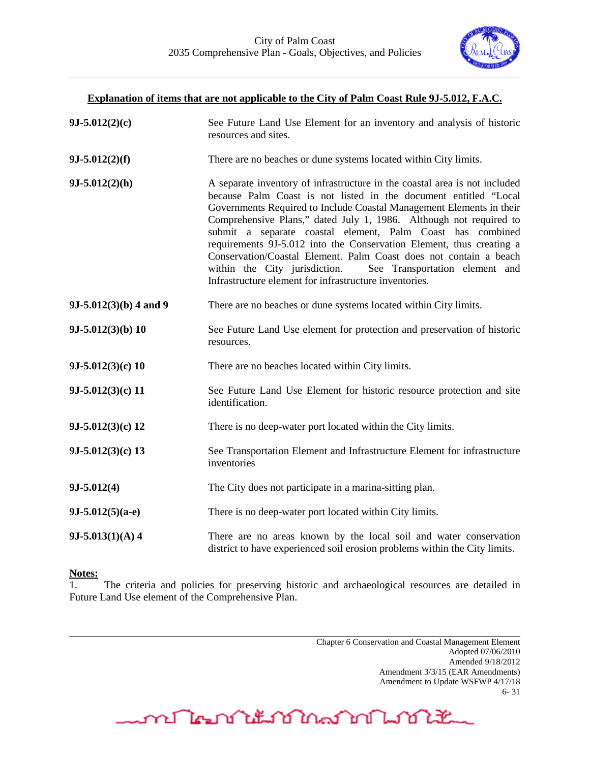

# **Explanation of items that are not applicable to the City of Palm Coast Rule 9J-5.012, F.A.C. 9J-5.012(2)(c)** See Future Land Use Element for an inventory and analysis of historic resources and sites. **9J-5.012(2)(f)** There are no beaches or dune systems located within City limits. **9J-5.012(2)(h)** A separate inventory of infrastructure in the coastal area is not included because Palm Coast is not listed in the document entitled "Local Governments Required to Include Coastal Management Elements in their Comprehensive Plans," dated July 1, 1986. Although not required to submit a separate coastal element, Palm Coast has combined requirements 9J-5.012 into the Conservation Element, thus creating a Conservation/Coastal Element. Palm Coast does not contain a beach within the City jurisdiction. See Transportation element and Infrastructure element for infrastructure inventories. **9J-5.012(3)(b) 4 and 9** There are no beaches or dune systems located within City limits. **9J-5.012(3)(b) 10** See Future Land Use element for protection and preservation of historic resources. **9J-5.012(3)(c) 10** There are no beaches located within City limits. **9J-5.012(3)(c) 11** See Future Land Use Element for historic resource protection and site identification. **9J-5.012(3)(c) 12** There is no deep-water port located within the City limits. **9J-5.012(3)(c) 13** See Transportation Element and Infrastructure Element for infrastructure inventories **9J-5.012(4)** The City does not participate in a marina-sitting plan. **9J-5.012(5)(a-e)** There is no deep-water port located within City limits. **9J-5.013(1)(A) 4** There are no areas known by the local soil and water conservation district to have experienced soil erosion problems within the City limits.

#### **Notes:**

1. The criteria and policies for preserving historic and archaeological resources are detailed in Future Land Use element of the Comprehensive Plan.

> Chapter 6 Conservation and Coastal Management Element Adopted 07/06/2010 Amended 9/18/2012 Amendment 3/3/15 (EAR Amendments) Amendment to Update WSFWP 4/17/18 6- 31

<u>mm Man Yit ng Maring Links</u>